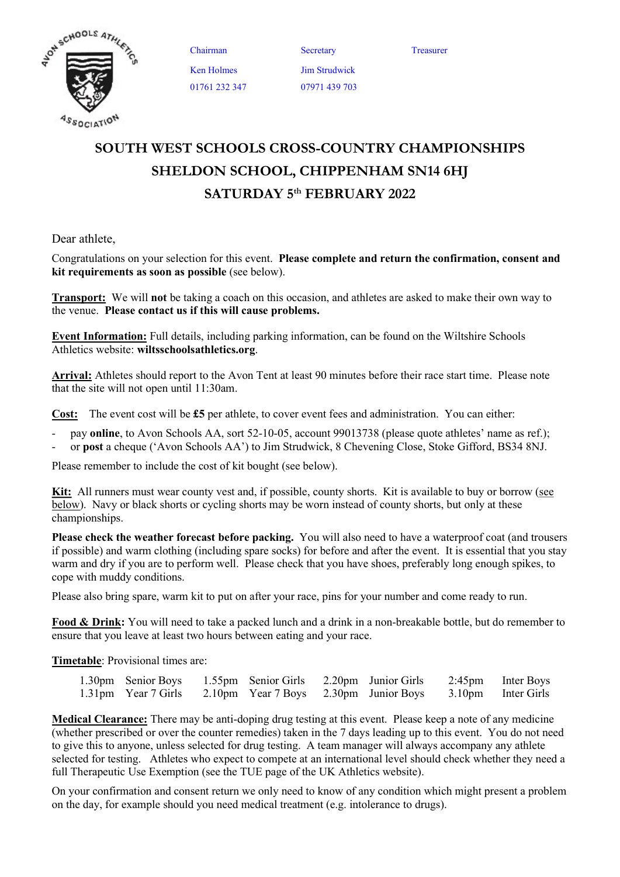

Chairman Secretary Treasurer Ken Holmes 01761 232 347

Jim Strudwick 07971 439 703

SOUTH WEST SCHOOLS CROSS-COUNTRY CHAMPIONSHIPS SHELDON SCHOOL, CHIPPENHAM SN14 6HJ SATURDAY 5<sup>th</sup> FEBRUARY 2022

Dear athlete,

Congratulations on your selection for this event. Please complete and return the confirmation, consent and kit requirements as soon as possible (see below).

**Transport:** We will not be taking a coach on this occasion, and athletes are asked to make their own way to the venue. Please contact us if this will cause problems.

Event Information: Full details, including parking information, can be found on the Wiltshire Schools Athletics website: wiltsschoolsathletics.org.

Arrival: Athletes should report to the Avon Tent at least 90 minutes before their race start time. Please note that the site will not open until 11:30am.

Cost: The event cost will be £5 per athlete, to cover event fees and administration. You can either:

- pay online, to Avon Schools AA, sort 52-10-05, account 99013738 (please quote athletes' name as ref.);
- or post a cheque ('Avon Schools AA') to Jim Strudwick, 8 Chevening Close, Stoke Gifford, BS34 8NJ.

Please remember to include the cost of kit bought (see below).

Kit: All runners must wear county vest and, if possible, county shorts. Kit is available to buy or borrow (see below). Navy or black shorts or cycling shorts may be worn instead of county shorts, but only at these championships.

Please check the weather forecast before packing. You will also need to have a waterproof coat (and trousers if possible) and warm clothing (including spare socks) for before and after the event. It is essential that you stay warm and dry if you are to perform well. Please check that you have shoes, preferably long enough spikes, to cope with muddy conditions.

Please also bring spare, warm kit to put on after your race, pins for your number and come ready to run.

Food & Drink: You will need to take a packed lunch and a drink in a non-breakable bottle, but do remember to ensure that you leave at least two hours between eating and your race.

Timetable: Provisional times are:

| 1.30pm Senior Boys 1.55pm Senior Girls 2.20pm Junior Girls 2.45pm Inter Boys |  |  |  |
|------------------------------------------------------------------------------|--|--|--|
| 1.31pm Year 7 Girls 2.10pm Year 7 Boys 2.30pm Junior Boys 3.10pm Inter Girls |  |  |  |

Medical Clearance: There may be anti-doping drug testing at this event. Please keep a note of any medicine (whether prescribed or over the counter remedies) taken in the 7 days leading up to this event. You do not need to give this to anyone, unless selected for drug testing. A team manager will always accompany any athlete selected for testing. Athletes who expect to compete at an international level should check whether they need a full Therapeutic Use Exemption (see the TUE page of the UK Athletics website).

On your confirmation and consent return we only need to know of any condition which might present a problem on the day, for example should you need medical treatment (e.g. intolerance to drugs).